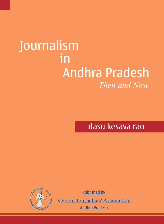# *Then and Now* Journalism in Andhra Pradesh

dasu kesava rao



Published by

Veteran Journalists' Association Andhra Pradesh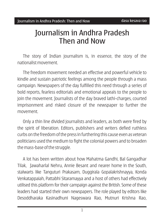## Journalism in Andhra Pradesh Then and Now

The story of Indian journalism is, in essence, the story of the nationalist movement.

The freedom movement needed an effective and powerful vehicle to kindle and sustain patriotic feelings among the people through a mass campaign. Newspapers of the day fulfilled this need through a series of bold reports, fearless editorials and emotional appeals to the people to join the movement. Journalists of the day braved lathi-charges, courted imprisonment and risked closure of the newspaper to further the movement.

Only a thin line divided journalists and leaders, as both were fired by the spirit of liberation. Editors, publishers and writers defied ruthless curbs on the freedom of the press in furthering this cause even as veteran politicians used the medium to fight the colonial powers and to broaden the mass-base of the struggle.

A lot has been written about how Mahatma Gandhi, Bal Gangadhar Tilak, Jawaharlal Nehru, Annie Besant and nearer home in the South, stalwarts like Tanguturi Prakasam, Duggirala Gopalakrishnayya, Konda Venkatappaiah, Pattabhi Sitaramayya and a host of others had effectively utilised this platform for their campaign against the British. Some of these leaders had started their own newspapers. The role played by editors like Desoddharaka Kasinadhuni Nageswara Rao, Mutnuri Krishna Rao,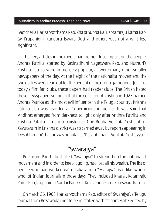#### Journalism in Andhra Pradesh: Then and Now Preface dasu kesava rao

Gadicherla Harisarvotthama Rao, Khasa Subba Rau, Kotamraju Rama Rao, GV Krupanidhi, Kunduru Iswara Dutt and others was not a whit less significant.

The fiery articles in the media had tremendous impact on the people. Andhra Patrika, started by Kasinadhuni Nageswara Rao, and Mutnuri's Krishna Patrika were immensely popular, as were many other smaller newspapers of the day. At the height of the nationalist movement, the two dailies were read out for the benefit of the group gatherings. Just like today's film fan clubs, these papers had reader clubs. The British hated these newspapers so much that the Collector of Krishna in 1923 named Andhra Patrika as 'the most evil influence in the Telugu country'. Krishna Patrika also was branded as 'a pernicious influence'. It was said that 'Andhras emerged from darkness to light only after Andhra Patrika and Krishna Patrika came into existence'. One Bobba Venkata Seshaiah of Kavutaram in Krishna district was so carried away by reports appearing in 'Desabhimani' that he was popular as 'Desabhimani" Venkata Seshayya.

### "Swarajya"

Prakasam Panthulu started "Swarajya" to strengthen the nationalist movement and in order to keep it going, had lost all his wealth. The list of people who had worked with Prakasam in 'Swarajya' read like 'who is who' of Indian Journalism those days. They included Khasa , Kotamraju Rama Rao, Krupanidhi, Sardar Panikkar, Kolavennu Ramakoteswara Rao etc.

On March 26, 1908, Harisarvotthama Rao, editor of 'Swarajya', a Telugu journal from Bezawada (not to be mistaken with its namesake edited by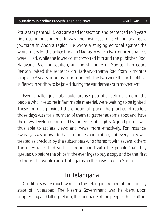#### Journalism in Andhra Pradesh: Then and Now Preface dasu kesava rao

Prakasam panthulu), was arrested for sedition and sentenced to 3 years rigorous imprisonment. It was the first case of sedition against a journalist in Andhra region. He wrote a stinging editorial against the white rulers for the police firing in Madras in which two innocent natives were killed. While the lower court convicted him and the publisher, Bodi Narayana Rao, for sedition, an English judge of Madras High Court, Benson, raised the sentence on Harisarvotthama Rao from 6 months simple to 3 years rigorous imprisonment. The two were the first political sufferers in Andhra to be jailed during the Vandemataram movement.

Even smaller journals could arouse patriotic feelings among the people who, like some inflammable material, were waiting to be ignited. These journals provided the emotional spark. The practice of readers those days was for a number of them to gather at some spot and have the news developments read by someone intelligibly. A good journal was thus able to radiate views and news more effectively. For instance, Swarajya was known to have a modest circulation, but every copy was treated as precious by the subscribers who shared it with several others. The newspaper had such a strong bond with the people that they queued up before the office in the evenings to buy a copy and be the 'first to know'. This would cause traffic jams on the busy street in Madras!

## In Telangana

Conditions were much worse in the Telangana region of the princely state of Hyderabad. The Nizam's Government was hell-bent upon suppressing and killing Telugu, the language of the people, their culture